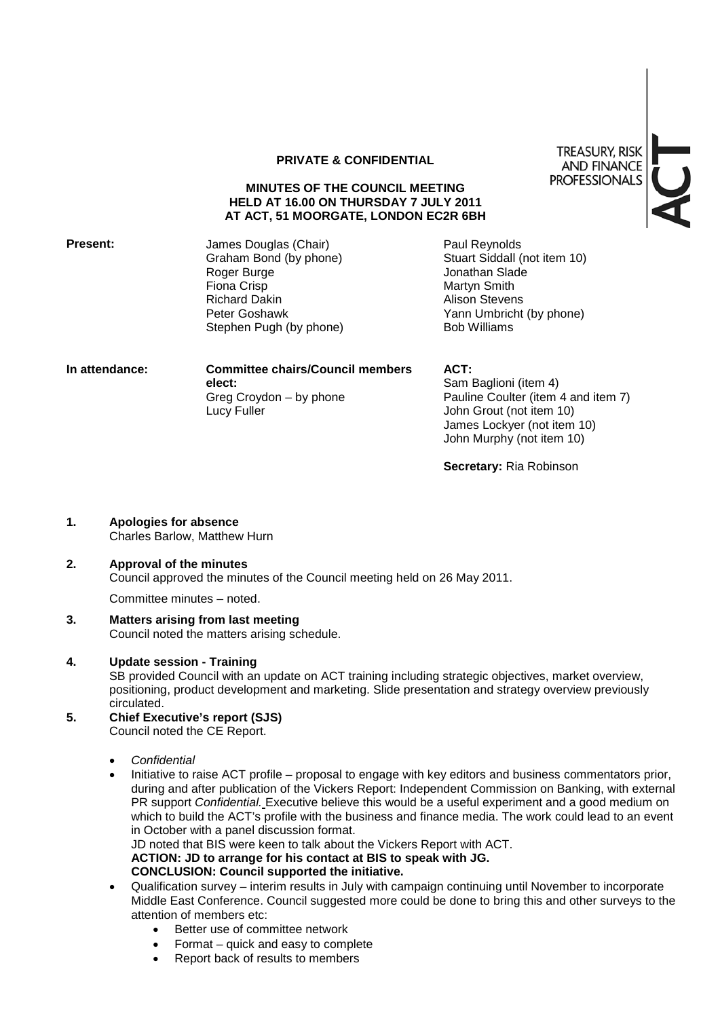#### **PRIVATE & CONFIDENTIAL**

#### **MINUTES OF THE COUNCIL MEETING HELD AT 16.00 ON THURSDAY 7 JULY 2011 AT ACT, 51 MOORGATE, LONDON EC2R 6BH**

**Present:** James Douglas (Chair) Graham Bond (by phone) Roger Burge Fiona Crisp Richard Dakin Peter Goshawk Stephen Pugh (by phone)

Paul Reynolds Stuart Siddall (not item 10) Jonathan Slade Martyn Smith Alison Stevens Yann Umbricht (by phone) Bob Williams

| In attendance: | <b>Committee chairs/Council members</b> | ACT:                                |
|----------------|-----------------------------------------|-------------------------------------|
|                | elect:                                  | Sam Baglioni (item 4)               |
|                | Greg Croydon – by phone                 | Pauline Coulter (item 4 and item 7) |
|                | Lucy Fuller                             | John Grout (not item 10)            |
|                |                                         | James Lockyer (not item 10)         |

**Secretary:** Ria Robinson

John Murphy (not item 10)

**1. Apologies for absence** Charles Barlow, Matthew Hurn

#### **2. Approval of the minutes** Council approved the minutes of the Council meeting held on 26 May 2011.

Committee minutes – noted.

**3. Matters arising from last meeting** Council noted the matters arising schedule.

#### **4. Update session - Training**

SB provided Council with an update on ACT training including strategic objectives, market overview, positioning, product development and marketing. Slide presentation and strategy overview previously circulated.

- **5. Chief Executive's report (SJS)** Council noted the CE Report.
	- *Confidential*
	- Initiative to raise ACT profile proposal to engage with key editors and business commentators prior, during and after publication of the Vickers Report: Independent Commission on Banking, with external PR support *Confidential.* Executive believe this would be a useful experiment and a good medium on which to build the ACT's profile with the business and finance media. The work could lead to an event in October with a panel discussion format. JD noted that BIS were keen to talk about the Vickers Report with ACT. **ACTION: JD to arrange for his contact at BIS to speak with JG.**

## **CONCLUSION: Council supported the initiative.**

- Qualification survey interim results in July with campaign continuing until November to incorporate Middle East Conference. Council suggested more could be done to bring this and other surveys to the attention of members etc:
	- Better use of committee network
	- Format quick and easy to complete
	- Report back of results to members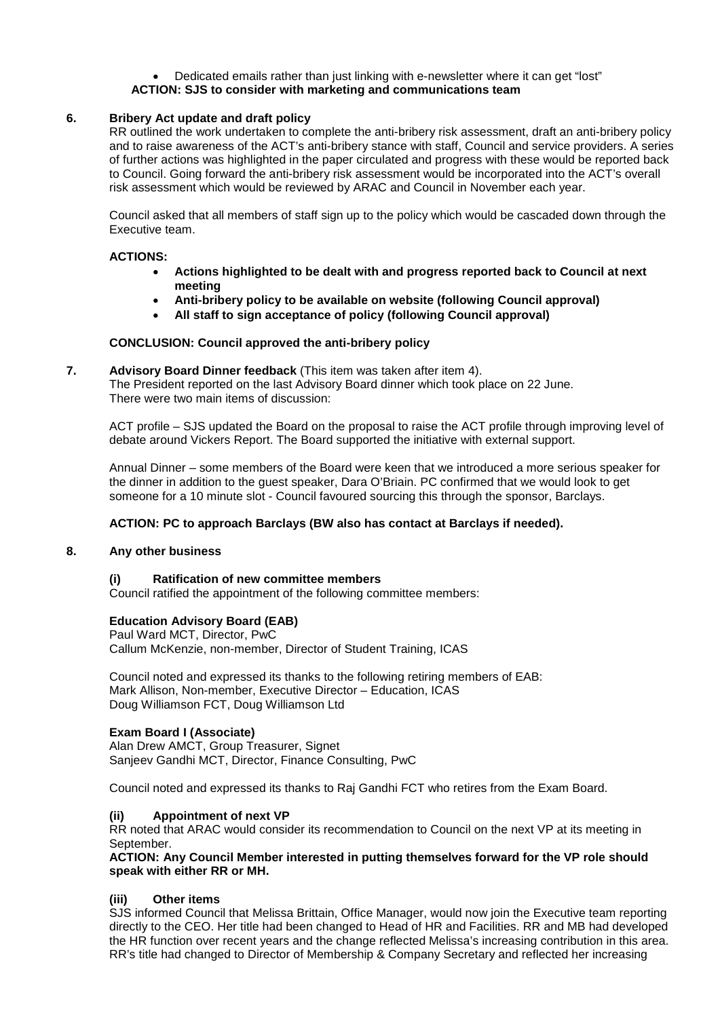#### • Dedicated emails rather than just linking with e-newsletter where it can get "lost" **ACTION: SJS to consider with marketing and communications team**

## **6. Bribery Act update and draft policy**

RR outlined the work undertaken to complete the anti-bribery risk assessment, draft an anti-bribery policy and to raise awareness of the ACT's anti-bribery stance with staff, Council and service providers. A series of further actions was highlighted in the paper circulated and progress with these would be reported back to Council. Going forward the anti-bribery risk assessment would be incorporated into the ACT's overall risk assessment which would be reviewed by ARAC and Council in November each year.

Council asked that all members of staff sign up to the policy which would be cascaded down through the Executive team.

#### **ACTIONS:**

- **Actions highlighted to be dealt with and progress reported back to Council at next meeting**
- **Anti-bribery policy to be available on website (following Council approval)**
- **All staff to sign acceptance of policy (following Council approval)**

## **CONCLUSION: Council approved the anti-bribery policy**

**7. Advisory Board Dinner feedback** (This item was taken after item 4). The President reported on the last Advisory Board dinner which took place on 22 June. There were two main items of discussion:

ACT profile – SJS updated the Board on the proposal to raise the ACT profile through improving level of debate around Vickers Report. The Board supported the initiative with external support.

Annual Dinner – some members of the Board were keen that we introduced a more serious speaker for the dinner in addition to the guest speaker, Dara O'Briain. PC confirmed that we would look to get someone for a 10 minute slot - Council favoured sourcing this through the sponsor, Barclays.

## **ACTION: PC to approach Barclays (BW also has contact at Barclays if needed).**

## **8. Any other business**

## **(i) Ratification of new committee members**

Council ratified the appointment of the following committee members:

## **Education Advisory Board (EAB)**

Paul Ward MCT, Director, PwC Callum McKenzie, non-member, Director of Student Training, ICAS

Council noted and expressed its thanks to the following retiring members of EAB: Mark Allison, Non-member, Executive Director – Education, ICAS Doug Williamson FCT, Doug Williamson Ltd

## **Exam Board I (Associate)**

Alan Drew AMCT, Group Treasurer, Signet Sanjeev Gandhi MCT, Director, Finance Consulting, PwC

Council noted and expressed its thanks to Raj Gandhi FCT who retires from the Exam Board.

## **(ii) Appointment of next VP**

RR noted that ARAC would consider its recommendation to Council on the next VP at its meeting in **September** 

#### **ACTION: Any Council Member interested in putting themselves forward for the VP role should speak with either RR or MH.**

## **(iii) Other items**

SJS informed Council that Melissa Brittain, Office Manager, would now join the Executive team reporting directly to the CEO. Her title had been changed to Head of HR and Facilities. RR and MB had developed the HR function over recent years and the change reflected Melissa's increasing contribution in this area. RR's title had changed to Director of Membership & Company Secretary and reflected her increasing